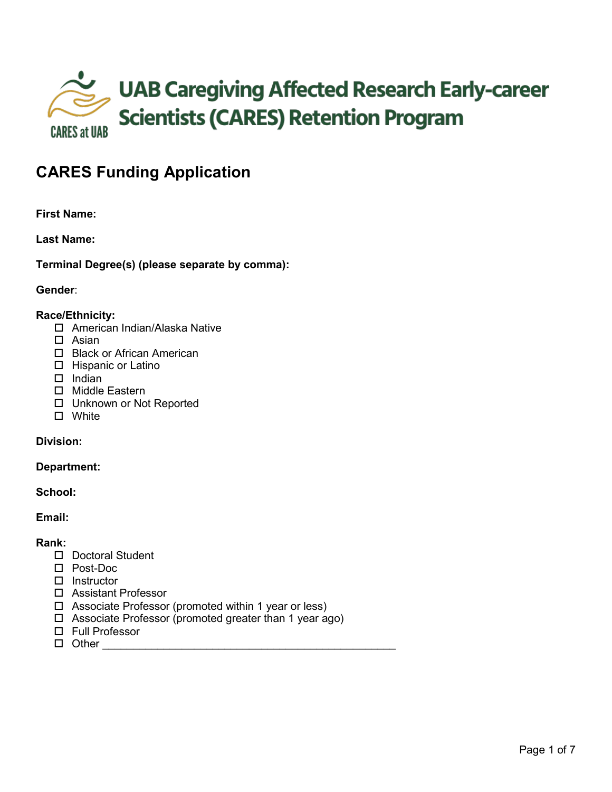

# **CARES Funding Application**

# **First Name:**

**Last Name:** 

**Terminal Degree(s) (please separate by comma):** 

## **Gender**:

#### **Race/Ethnicity:**

- □ American Indian/Alaska Native
- $\square$  Asian
- □ Black or African American
- □ Hispanic or Latino
- $\Box$  Indian
- □ Middle Eastern
- □ Unknown or Not Reported
- □ White

# **Division:**

#### **Department:**

## **School:**

**Email:**

# **Rank:**

- D Doctoral Student
- Post-Doc
- $\square$  Instructor
- Assistant Professor
- $\Box$  Associate Professor (promoted within 1 year or less)
- □ Associate Professor (promoted greater than 1 year ago)
- □ Full Professor
- $\Box$  Other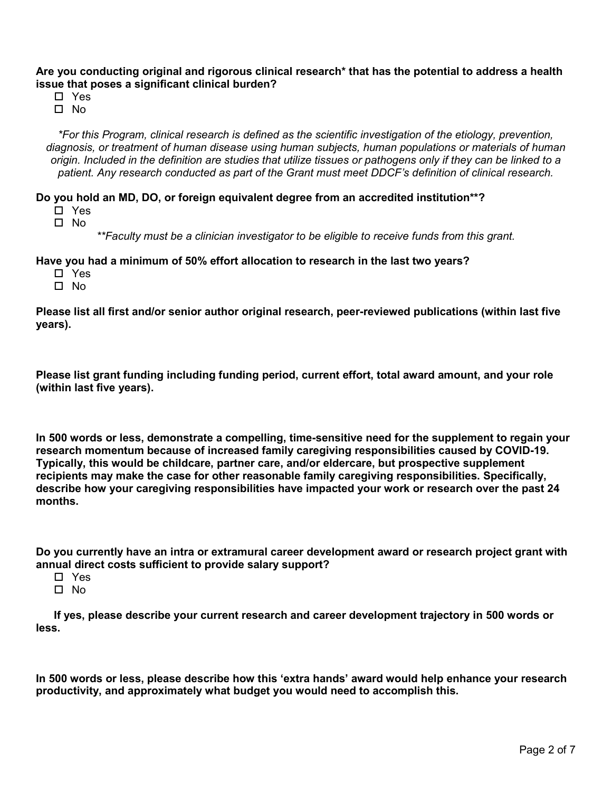**Are you conducting original and rigorous clinical research\* that has the potential to address a health issue that poses a significant clinical burden?**

- Yes
- $\Pi$  No

*\*For this Program, clinical research is defined as the scientific investigation of the etiology, prevention, diagnosis, or treatment of human disease using human subjects, human populations or materials of human origin. Included in the definition are studies that utilize tissues or pathogens only if they can be linked to a patient. Any research conducted as part of the Grant must meet DDCF's definition of clinical research.*

**Do you hold an MD, DO, or foreign equivalent degree from an accredited institution\*\*?**

- □ Yes
- □ No

*\*\*Faculty must be a clinician investigator to be eligible to receive funds from this grant.*

**Have you had a minimum of 50% effort allocation to research in the last two years?**

- □ Yes
- $\Pi$  No.

**Please list all first and/or senior author original research, peer-reviewed publications (within last five years).**

**Please list grant funding including funding period, current effort, total award amount, and your role (within last five years).**

**In 500 words or less, demonstrate a compelling, time-sensitive need for the supplement to regain your research momentum because of increased family caregiving responsibilities caused by COVID-19. Typically, this would be childcare, partner care, and/or eldercare, but prospective supplement recipients may make the case for other reasonable family caregiving responsibilities. Specifically, describe how your caregiving responsibilities have impacted your work or research over the past 24 months.**

**Do you currently have an intra or extramural career development award or research project grant with annual direct costs sufficient to provide salary support?**

- □ Yes
- $\Box$  No.

**If yes, please describe your current research and career development trajectory in 500 words or less.**

**In 500 words or less, please describe how this 'extra hands' award would help enhance your research productivity, and approximately what budget you would need to accomplish this.**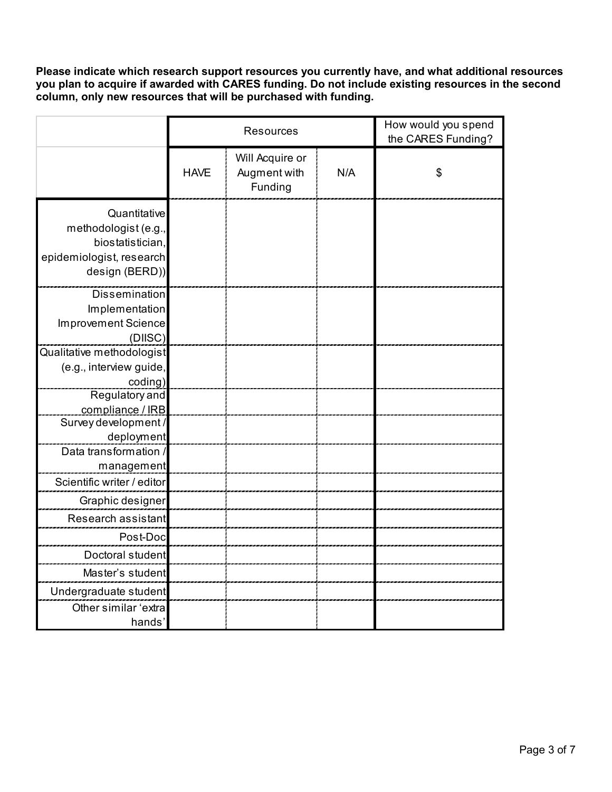**Please indicate which research support resources you currently have, and what additional resources you plan to acquire if awarded with CARES funding. Do not include existing resources in the second column, only new resources that will be purchased with funding.**

|                                                                                                        |             | <b>Resources</b>                           | How would you spend<br>the CARES Funding? |    |
|--------------------------------------------------------------------------------------------------------|-------------|--------------------------------------------|-------------------------------------------|----|
|                                                                                                        | <b>HAVE</b> | Will Acquire or<br>Augment with<br>Funding | N/A                                       | \$ |
| Quantitative<br>methodologist (e.g.,<br>biostatistician,<br>epidemiologist, research<br>design (BERD)) |             |                                            |                                           |    |
| <b>Dissemination</b><br>Implementation<br><b>Improvement Science</b><br>(DIISC)                        |             |                                            |                                           |    |
| Qualitative methodologist<br>(e.g., interview guide,<br>coding)                                        |             |                                            |                                           |    |
| Regulatory and<br>compliance / IRB                                                                     |             |                                            |                                           |    |
| Survey development /<br>deployment                                                                     |             |                                            |                                           |    |
| Data transformation /<br>management                                                                    |             |                                            |                                           |    |
| Scientific writer / editor                                                                             |             |                                            |                                           |    |
| Graphic designer                                                                                       |             |                                            |                                           |    |
| Research assistant                                                                                     |             |                                            |                                           |    |
| Post-Doc                                                                                               |             |                                            |                                           |    |
| Doctoral student                                                                                       |             |                                            |                                           |    |
| Master's student                                                                                       |             |                                            |                                           |    |
| Undergraduate student                                                                                  |             |                                            |                                           |    |
| Other similar 'extra<br>hands'                                                                         |             |                                            |                                           |    |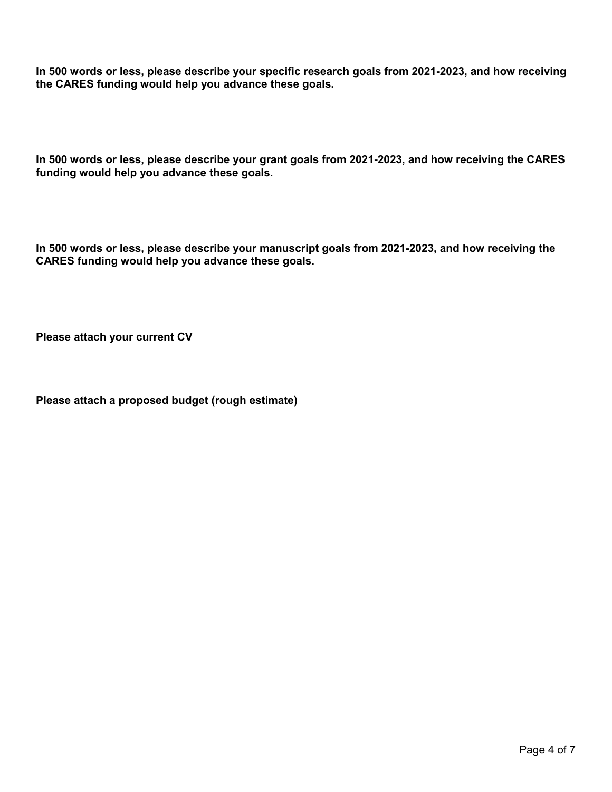**In 500 words or less, please describe your specific research goals from 2021-2023, and how receiving the CARES funding would help you advance these goals.**

**In 500 words or less, please describe your grant goals from 2021-2023, and how receiving the CARES funding would help you advance these goals.**

**In 500 words or less, please describe your manuscript goals from 2021-2023, and how receiving the CARES funding would help you advance these goals.**

**Please attach your current CV**

**Please attach a proposed budget (rough estimate)**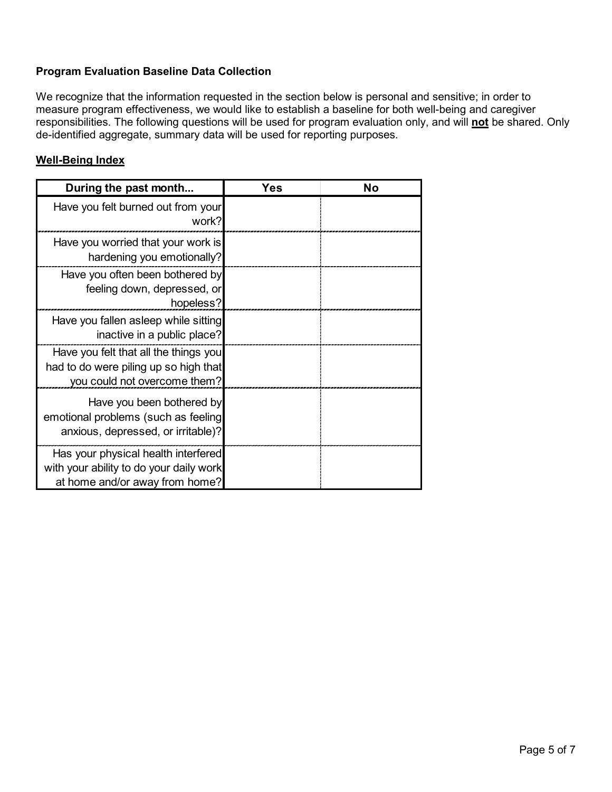## **Program Evaluation Baseline Data Collection**

We recognize that the information requested in the section below is personal and sensitive; in order to measure program effectiveness, we would like to establish a baseline for both well-being and caregiver responsibilities. The following questions will be used for program evaluation only, and will **not** be shared. Only de-identified aggregate, summary data will be used for reporting purposes.

## **Well-Being Index**

| During the past month                                                                                            | Yes | No |
|------------------------------------------------------------------------------------------------------------------|-----|----|
| Have you felt burned out from your<br>work?                                                                      |     |    |
| Have you worried that your work is<br>hardening you emotionally?                                                 |     |    |
| Have you often been bothered by<br>feeling down, depressed, or<br>hopeless?                                      |     |    |
| Have you fallen asleep while sitting<br>inactive in a public place?                                              |     |    |
| Have you felt that all the things you<br>had to do were piling up so high that<br>you could not overcome them?   |     |    |
| Have you been bothered by<br>emotional problems (such as feeling<br>anxious, depressed, or irritable)?           |     |    |
| Has your physical health interfered<br>with your ability to do your daily work<br>at home and/or away from home? |     |    |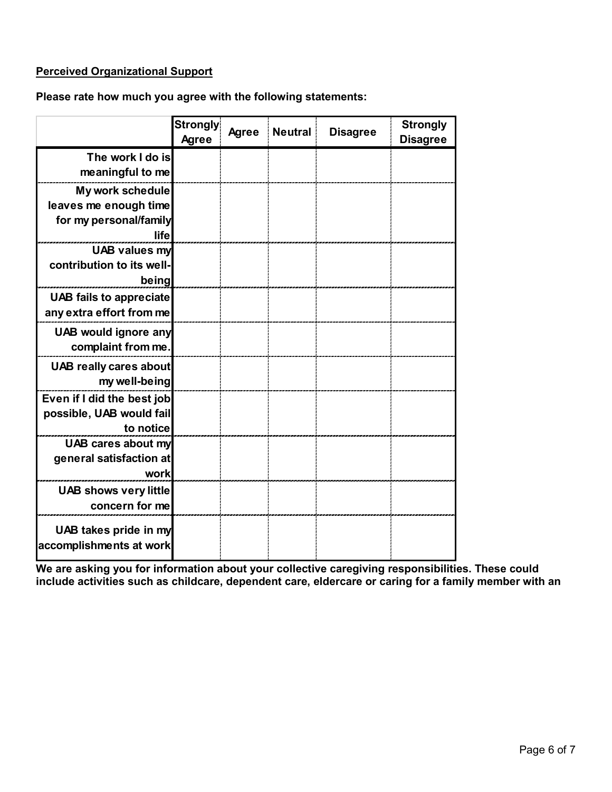# **Perceived Organizational Support**

## **Please rate how much you agree with the following statements:**

|                                                   | Strongly<br><b>Agree</b> | <b>Agree</b> | <b>Neutral</b> | <b>Disagree</b> | <b>Strongly</b><br><b>Disagree</b> |
|---------------------------------------------------|--------------------------|--------------|----------------|-----------------|------------------------------------|
| The work I do is                                  |                          |              |                |                 |                                    |
| meaningful to me                                  |                          |              |                |                 |                                    |
| My work schedule                                  |                          |              |                |                 |                                    |
| leaves me enough time                             |                          |              |                |                 |                                    |
| for my personal/family                            |                          |              |                |                 |                                    |
| life                                              |                          |              |                |                 |                                    |
| <b>UAB values my</b><br>contribution to its well- |                          |              |                |                 |                                    |
| being                                             |                          |              |                |                 |                                    |
| <b>UAB fails to appreciate</b>                    |                          |              |                |                 |                                    |
| any extra effort from me                          |                          |              |                |                 |                                    |
| <b>UAB would ignore any</b>                       |                          |              |                |                 |                                    |
| complaint from me.                                |                          |              |                |                 |                                    |
|                                                   |                          |              |                |                 |                                    |
| <b>UAB really cares about</b><br>my well-being    |                          |              |                |                 |                                    |
| Even if I did the best job                        |                          |              |                |                 |                                    |
| possible, UAB would fail                          |                          |              |                |                 |                                    |
| to notice                                         |                          |              |                |                 |                                    |
| UAB cares about my                                |                          |              |                |                 |                                    |
| general satisfaction at                           |                          |              |                |                 |                                    |
| work                                              |                          |              |                |                 |                                    |
| <b>UAB shows very little</b>                      |                          |              |                |                 |                                    |
| concern for me                                    |                          |              |                |                 |                                    |
| UAB takes pride in my<br>accomplishments at work  |                          |              |                |                 |                                    |

**We are asking you for information about your collective caregiving responsibilities. These could include activities such as childcare, dependent care, eldercare or caring for a family member with an**